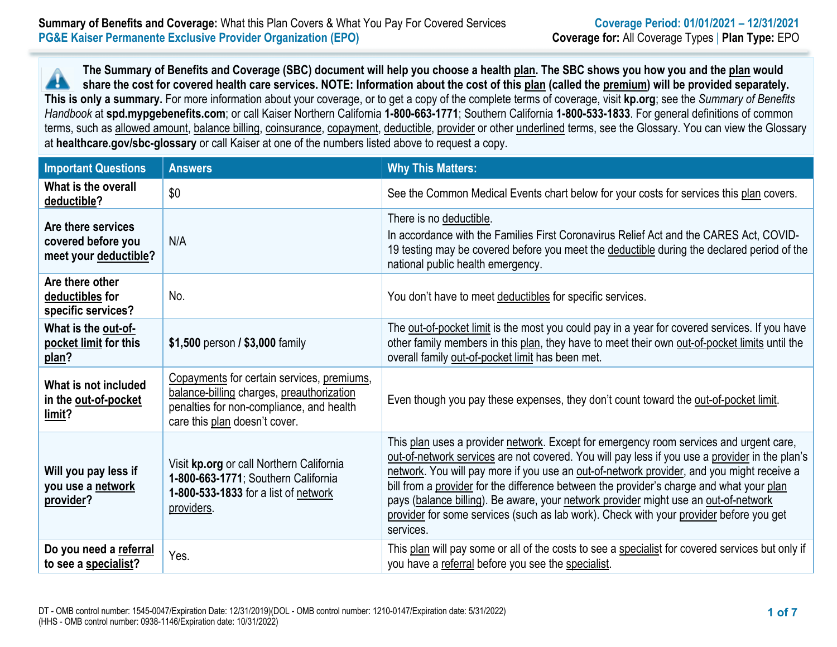**The Summary of Benefits and Coverage (SBC) document will help you choose a health plan. The SBC shows you how you and the plan would** A **share the cost for covered health care services. NOTE: Information about the cost of this plan (called the premium) will be provided separately. This is only a summary.** For more information about your coverage, or to get a copy of the complete terms of coverage, visit **kp.org**; see the *Summary of Benefits Handbook* at **spd.mypgebenefits.com**; or call Kaiser Northern California **1-800-663-1771**; Southern California **1-800-533-1833**. For general definitions of common terms, such as allowed amount, balance billing, coinsurance, copayment, deductible, provider or other underlined terms, see the Glossary. You can view the Glossary at **healthcare.gov/sbc-glossary** or call Kaiser at one of the numbers listed above to request a copy.

| <b>Important Questions</b>                                        | <b>Answers</b>                                                                                                                                                       | <b>Why This Matters:</b>                                                                                                                                                                                                                                                                                                                                                                                                                                                                                                                                                        |
|-------------------------------------------------------------------|----------------------------------------------------------------------------------------------------------------------------------------------------------------------|---------------------------------------------------------------------------------------------------------------------------------------------------------------------------------------------------------------------------------------------------------------------------------------------------------------------------------------------------------------------------------------------------------------------------------------------------------------------------------------------------------------------------------------------------------------------------------|
| What is the overall<br>deductible?                                | \$0                                                                                                                                                                  | See the Common Medical Events chart below for your costs for services this plan covers.                                                                                                                                                                                                                                                                                                                                                                                                                                                                                         |
| Are there services<br>covered before you<br>meet your deductible? | N/A                                                                                                                                                                  | There is no deductible.<br>In accordance with the Families First Coronavirus Relief Act and the CARES Act, COVID-<br>19 testing may be covered before you meet the deductible during the declared period of the<br>national public health emergency.                                                                                                                                                                                                                                                                                                                            |
| Are there other<br>deductibles for<br>specific services?          | No.                                                                                                                                                                  | You don't have to meet deductibles for specific services.                                                                                                                                                                                                                                                                                                                                                                                                                                                                                                                       |
| What is the out-of-<br>pocket limit for this<br>plan?             | \$1,500 person / \$3,000 family                                                                                                                                      | The out-of-pocket limit is the most you could pay in a year for covered services. If you have<br>other family members in this plan, they have to meet their own out-of-pocket limits until the<br>overall family out-of-pocket limit has been met.                                                                                                                                                                                                                                                                                                                              |
| What is not included<br>in the out-of-pocket<br>limit?            | Copayments for certain services, premiums,<br>balance-billing charges, preauthorization<br>penalties for non-compliance, and health<br>care this plan doesn't cover. | Even though you pay these expenses, they don't count toward the out-of-pocket limit.                                                                                                                                                                                                                                                                                                                                                                                                                                                                                            |
| Will you pay less if<br>you use a network<br>provider?            | Visit kp.org or call Northern California<br>1-800-663-1771; Southern California<br>1-800-533-1833 for a list of network<br>providers.                                | This plan uses a provider network. Except for emergency room services and urgent care,<br>out-of-network services are not covered. You will pay less if you use a provider in the plan's<br>network. You will pay more if you use an out-of-network provider, and you might receive a<br>bill from a provider for the difference between the provider's charge and what your plan<br>pays (balance billing). Be aware, your network provider might use an out-of-network<br>provider for some services (such as lab work). Check with your provider before you get<br>services. |
| Do you need a referral<br>to see a specialist?                    | Yes.                                                                                                                                                                 | This plan will pay some or all of the costs to see a specialist for covered services but only if<br>you have a referral before you see the specialist.                                                                                                                                                                                                                                                                                                                                                                                                                          |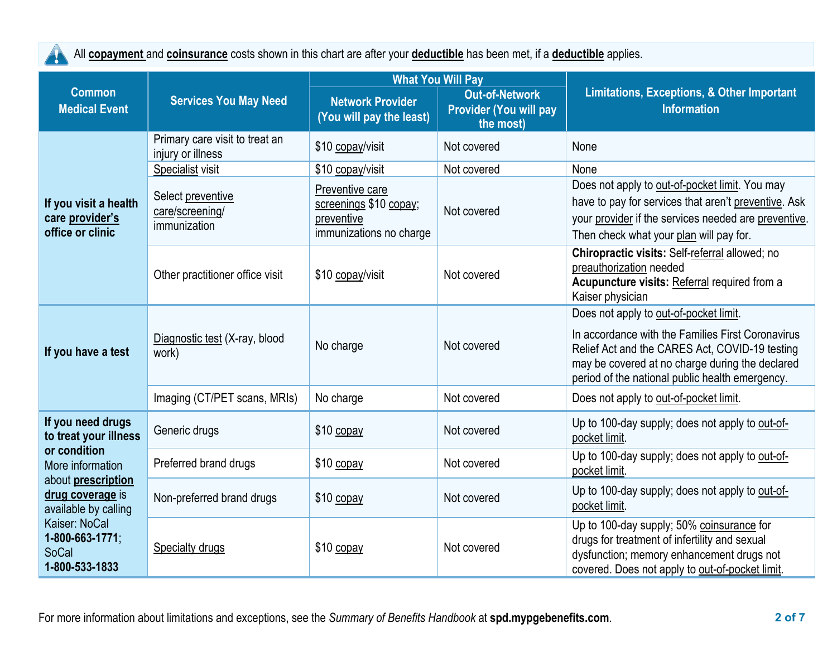All **copayment** and **coinsurance** costs shown in this chart are after your **deductible** has been met, if a **deductible** applies. AN

|                                                                                                                                                                                                                 |                                                      |                                                                                    | <b>What You Will Pay</b>                                            |                                                                                                                                                                                                                                                     |  |
|-----------------------------------------------------------------------------------------------------------------------------------------------------------------------------------------------------------------|------------------------------------------------------|------------------------------------------------------------------------------------|---------------------------------------------------------------------|-----------------------------------------------------------------------------------------------------------------------------------------------------------------------------------------------------------------------------------------------------|--|
| <b>Common</b><br><b>Medical Event</b>                                                                                                                                                                           | <b>Services You May Need</b>                         | <b>Network Provider</b><br>(You will pay the least)                                | <b>Out-of-Network</b><br><b>Provider (You will pay</b><br>the most) | <b>Limitations, Exceptions, &amp; Other Important</b><br><b>Information</b>                                                                                                                                                                         |  |
| If you visit a health<br>care provider's<br>office or clinic                                                                                                                                                    | Primary care visit to treat an<br>injury or illness  | \$10 copay/visit                                                                   | Not covered                                                         | None                                                                                                                                                                                                                                                |  |
|                                                                                                                                                                                                                 | Specialist visit                                     | \$10 copay/visit                                                                   | Not covered                                                         | None                                                                                                                                                                                                                                                |  |
|                                                                                                                                                                                                                 | Select preventive<br>care/screening/<br>immunization | Preventive care<br>screenings \$10 copay;<br>preventive<br>immunizations no charge | Not covered                                                         | Does not apply to out-of-pocket limit. You may<br>have to pay for services that aren't preventive. Ask<br>your provider if the services needed are preventive.<br>Then check what your plan will pay for.                                           |  |
|                                                                                                                                                                                                                 | Other practitioner office visit                      | \$10 copay/visit                                                                   | Not covered                                                         | Chiropractic visits: Self-referral allowed; no<br>preauthorization needed<br>Acupuncture visits: Referral required from a<br>Kaiser physician                                                                                                       |  |
| If you have a test                                                                                                                                                                                              | Diagnostic test (X-ray, blood<br>work)               | No charge                                                                          | Not covered                                                         | Does not apply to out-of-pocket limit.<br>In accordance with the Families First Coronavirus<br>Relief Act and the CARES Act, COVID-19 testing<br>may be covered at no charge during the declared<br>period of the national public health emergency. |  |
|                                                                                                                                                                                                                 | Imaging (CT/PET scans, MRIs)                         | No charge                                                                          | Not covered                                                         | Does not apply to out-of-pocket limit.                                                                                                                                                                                                              |  |
| If you need drugs<br>to treat your illness<br>or condition<br>More information<br>about prescription<br>drug coverage is<br>available by calling<br>Kaiser: NoCal<br>1-800-663-1771;<br>SoCal<br>1-800-533-1833 | Generic drugs                                        | \$10 copay                                                                         | Not covered                                                         | Up to 100-day supply; does not apply to out-of-<br>pocket limit.                                                                                                                                                                                    |  |
|                                                                                                                                                                                                                 | Preferred brand drugs                                | \$10 copay                                                                         | Not covered                                                         | Up to 100-day supply; does not apply to out-of-<br>pocket limit.                                                                                                                                                                                    |  |
|                                                                                                                                                                                                                 | Non-preferred brand drugs                            | $$10$ copay                                                                        | Not covered                                                         | Up to 100-day supply; does not apply to out-of-<br>pocket limit.                                                                                                                                                                                    |  |
|                                                                                                                                                                                                                 | Specialty drugs                                      | \$10 copay                                                                         | Not covered                                                         | Up to 100-day supply; 50% coinsurance for<br>drugs for treatment of infertility and sexual<br>dysfunction; memory enhancement drugs not<br>covered. Does not apply to out-of-pocket limit.                                                          |  |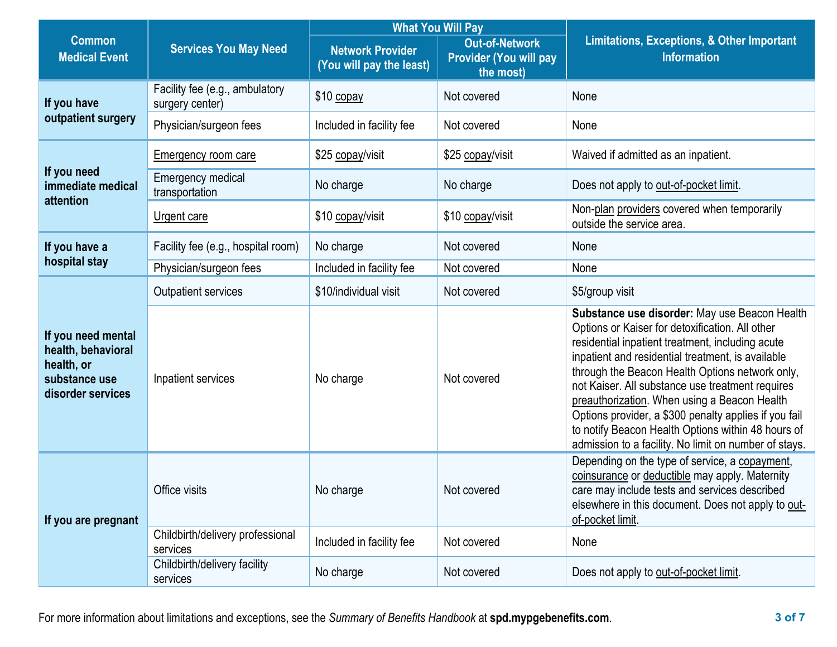|                                                                                              |                                                   |                                                     | <b>What You Will Pay</b>                                            |                                                                                                                                                                                                                                                                                                                                                                                                                                                                                                                                          |
|----------------------------------------------------------------------------------------------|---------------------------------------------------|-----------------------------------------------------|---------------------------------------------------------------------|------------------------------------------------------------------------------------------------------------------------------------------------------------------------------------------------------------------------------------------------------------------------------------------------------------------------------------------------------------------------------------------------------------------------------------------------------------------------------------------------------------------------------------------|
| <b>Common</b><br><b>Medical Event</b>                                                        | <b>Services You May Need</b>                      | <b>Network Provider</b><br>(You will pay the least) | <b>Out-of-Network</b><br><b>Provider (You will pay</b><br>the most) | <b>Limitations, Exceptions, &amp; Other Important</b><br><b>Information</b>                                                                                                                                                                                                                                                                                                                                                                                                                                                              |
| If you have<br>outpatient surgery                                                            | Facility fee (e.g., ambulatory<br>surgery center) | \$10 copay                                          | Not covered                                                         | None                                                                                                                                                                                                                                                                                                                                                                                                                                                                                                                                     |
|                                                                                              | Physician/surgeon fees                            | Included in facility fee                            | Not covered                                                         | None                                                                                                                                                                                                                                                                                                                                                                                                                                                                                                                                     |
| If you need<br>immediate medical<br>attention                                                | <b>Emergency room care</b>                        | \$25 copay/visit                                    | \$25 copay/visit                                                    | Waived if admitted as an inpatient.                                                                                                                                                                                                                                                                                                                                                                                                                                                                                                      |
|                                                                                              | <b>Emergency medical</b><br>transportation        | No charge                                           | No charge                                                           | Does not apply to out-of-pocket limit.                                                                                                                                                                                                                                                                                                                                                                                                                                                                                                   |
|                                                                                              | <b>Urgent care</b>                                | \$10 copay/visit                                    | \$10 copay/visit                                                    | Non-plan providers covered when temporarily<br>outside the service area.                                                                                                                                                                                                                                                                                                                                                                                                                                                                 |
| If you have a                                                                                | Facility fee (e.g., hospital room)                | No charge                                           | Not covered                                                         | None                                                                                                                                                                                                                                                                                                                                                                                                                                                                                                                                     |
| hospital stay                                                                                | Physician/surgeon fees                            | Included in facility fee                            | Not covered                                                         | None                                                                                                                                                                                                                                                                                                                                                                                                                                                                                                                                     |
| If you need mental<br>health, behavioral<br>health, or<br>substance use<br>disorder services | <b>Outpatient services</b>                        | \$10/individual visit                               | Not covered                                                         | \$5/group visit                                                                                                                                                                                                                                                                                                                                                                                                                                                                                                                          |
|                                                                                              | Inpatient services                                | No charge                                           | Not covered                                                         | Substance use disorder: May use Beacon Health<br>Options or Kaiser for detoxification. All other<br>residential inpatient treatment, including acute<br>inpatient and residential treatment, is available<br>through the Beacon Health Options network only,<br>not Kaiser. All substance use treatment requires<br>preauthorization. When using a Beacon Health<br>Options provider, a \$300 penalty applies if you fail<br>to notify Beacon Health Options within 48 hours of<br>admission to a facility. No limit on number of stays. |
| If you are pregnant                                                                          | Office visits                                     | No charge                                           | Not covered                                                         | Depending on the type of service, a copayment,<br>coinsurance or deductible may apply. Maternity<br>care may include tests and services described<br>elsewhere in this document. Does not apply to out-<br>of-pocket limit.                                                                                                                                                                                                                                                                                                              |
|                                                                                              | Childbirth/delivery professional<br>services      | Included in facility fee                            | Not covered                                                         | None                                                                                                                                                                                                                                                                                                                                                                                                                                                                                                                                     |
|                                                                                              | Childbirth/delivery facility<br>services          | No charge                                           | Not covered                                                         | Does not apply to out-of-pocket limit.                                                                                                                                                                                                                                                                                                                                                                                                                                                                                                   |

For more information about limitations and exceptions, see the *Summary of Benefits Handbook* at **spd.mypgebenefits.com**. **3 of 7**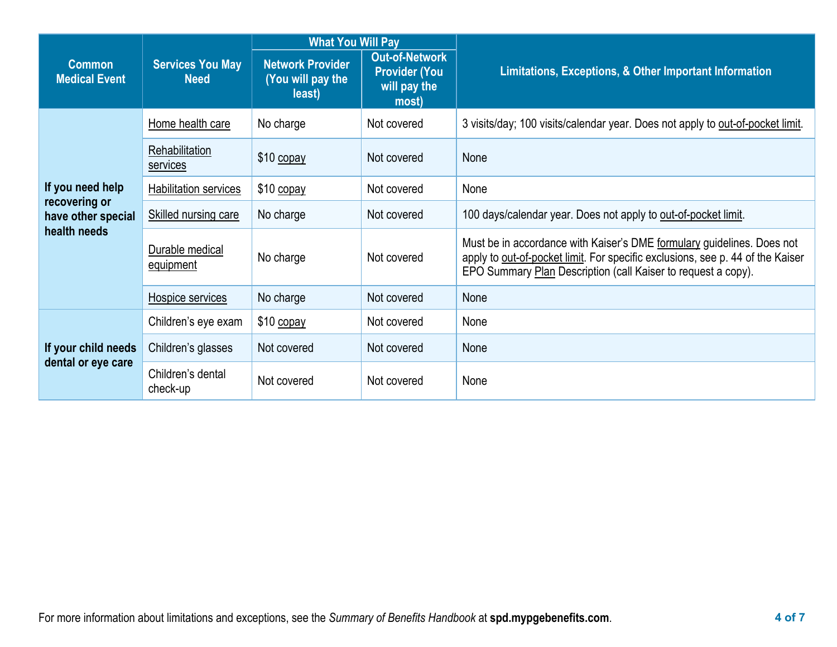|                                                                         | <b>Services You May</b><br><b>Need</b> | <b>What You Will Pay</b>                               |                                                                        |                                                                                                                                                                                                                           |  |  |
|-------------------------------------------------------------------------|----------------------------------------|--------------------------------------------------------|------------------------------------------------------------------------|---------------------------------------------------------------------------------------------------------------------------------------------------------------------------------------------------------------------------|--|--|
| <b>Common</b><br><b>Medical Event</b>                                   |                                        | <b>Network Provider</b><br>(You will pay the<br>least) | <b>Out-of-Network</b><br><b>Provider (You</b><br>will pay the<br>most) | Limitations, Exceptions, & Other Important Information                                                                                                                                                                    |  |  |
| If you need help<br>recovering or<br>have other special<br>health needs | Home health care                       | No charge                                              | Not covered                                                            | 3 visits/day; 100 visits/calendar year. Does not apply to out-of-pocket limit.                                                                                                                                            |  |  |
|                                                                         | Rehabilitation<br>services             | $$10$ copay                                            | Not covered                                                            | None                                                                                                                                                                                                                      |  |  |
|                                                                         | Habilitation services                  | \$10 copay                                             | Not covered                                                            | None                                                                                                                                                                                                                      |  |  |
|                                                                         | Skilled nursing care                   | No charge                                              | Not covered                                                            | 100 days/calendar year. Does not apply to out-of-pocket limit.                                                                                                                                                            |  |  |
|                                                                         | Durable medical<br>equipment           | No charge                                              | Not covered                                                            | Must be in accordance with Kaiser's DME formulary guidelines. Does not<br>apply to out-of-pocket limit. For specific exclusions, see p. 44 of the Kaiser<br>EPO Summary Plan Description (call Kaiser to request a copy). |  |  |
|                                                                         | Hospice services                       | No charge                                              | Not covered                                                            | None                                                                                                                                                                                                                      |  |  |
| If your child needs<br>dental or eye care                               | Children's eye exam                    | $$10$ copay                                            | Not covered                                                            | None                                                                                                                                                                                                                      |  |  |
|                                                                         | Children's glasses                     | Not covered                                            | Not covered                                                            | None                                                                                                                                                                                                                      |  |  |
|                                                                         | Children's dental<br>check-up          | Not covered                                            | Not covered                                                            | None                                                                                                                                                                                                                      |  |  |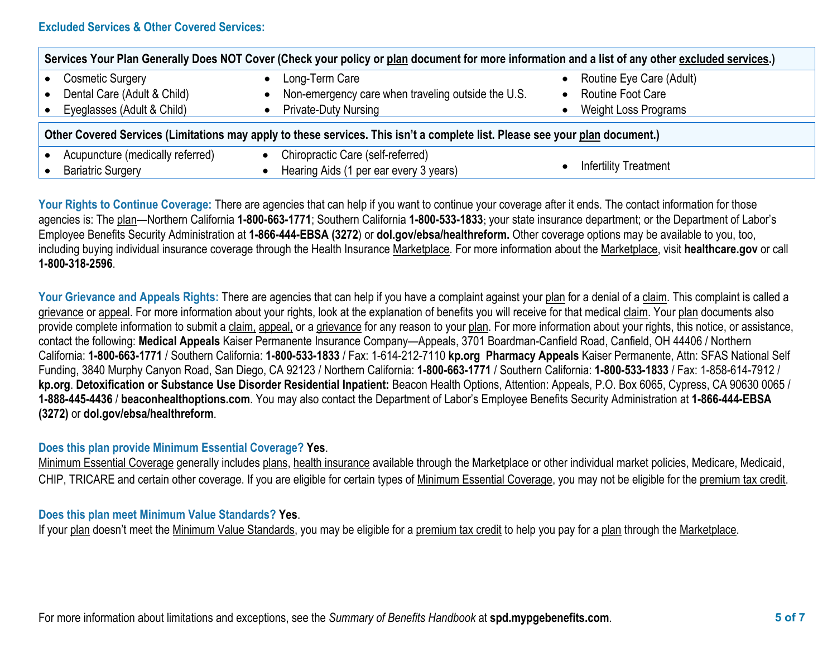## **Excluded Services & Other Covered Services:**

| Services Your Plan Generally Does NOT Cover (Check your policy or plan document for more information and a list of any other excluded services.) |                                                                             |                              |  |  |  |  |
|--------------------------------------------------------------------------------------------------------------------------------------------------|-----------------------------------------------------------------------------|------------------------------|--|--|--|--|
| Cosmetic Surgery                                                                                                                                 | Long-Term Care                                                              | Routine Eye Care (Adult)     |  |  |  |  |
| Dental Care (Adult & Child)                                                                                                                      | Non-emergency care when traveling outside the U.S.                          | <b>Routine Foot Care</b>     |  |  |  |  |
| Eyeglasses (Adult & Child)                                                                                                                       | <b>Private-Duty Nursing</b>                                                 | Weight Loss Programs         |  |  |  |  |
| Other Covered Services (Limitations may apply to these services. This isn't a complete list. Please see your plan document.)                     |                                                                             |                              |  |  |  |  |
| Acupuncture (medically referred)<br><b>Bariatric Surgery</b>                                                                                     | Chiropractic Care (self-referred)<br>Hearing Aids (1 per ear every 3 years) | <b>Infertility Treatment</b> |  |  |  |  |

Your Rights to Continue Coverage: There are agencies that can help if you want to continue your coverage after it ends. The contact information for those agencies is: The plan—Northern California **1-800-663-1771**; Southern California **1-800-533-1833**; your state insurance department; or the Department of Labor's Employee Benefits Security Administration at **1-866-444-EBSA (3272**) or **dol.gov/ebsa/healthreform.** Other coverage options may be available to you, too, including buying individual insurance coverage through the Health Insurance Marketplace. For more information about the Marketplace, visit **healthcare.gov** or call **1-800-318-2596**.

Your Grievance and Appeals Rights: There are agencies that can help if you have a complaint against your plan for a denial of a claim. This complaint is called a grievance or appeal. For more information about your rights, look at the explanation of benefits you will receive for that medical claim. Your plan documents also provide complete information to submit a claim, appeal, or a grievance for any reason to your plan. For more information about your rights, this notice, or assistance, contact the following: **Medical Appeals** Kaiser Permanente Insurance Company—Appeals, 3701 Boardman-Canfield Road, Canfield, OH 44406 / Northern California: **1-800-663-1771** / Southern California: **1-800-533-1833** / Fax: 1-614-212-7110 **kp.org Pharmacy Appeals** Kaiser Permanente, Attn: SFAS National Self Funding, 3840 Murphy Canyon Road, San Diego, CA 92123 / Northern California: **1-800-663-1771** / Southern California: **1-800-533-1833** / Fax: 1-858-614-7912 / **kp.org**. **Detoxification or Substance Use Disorder Residential Inpatient:** Beacon Health Options, Attention: Appeals, P.O. Box 6065, Cypress, CA 90630 0065 / **1-888-445-4436** / **beaconhealthoptions.com**. You may also contact the Department of Labor's Employee Benefits Security Administration at **1-866-444-EBSA (3272)** or **dol.gov/ebsa/healthreform**.

## **Does this plan provide Minimum Essential Coverage? Yes**.

Minimum Essential Coverage generally includes plans, health insurance available through the Marketplace or other individual market policies, Medicare, Medicaid, CHIP, TRICARE and certain other coverage. If you are eligible for certain types of Minimum Essential Coverage, you may not be eligible for the premium tax credit.

## **Does this plan meet Minimum Value Standards? Yes**.

If your plan doesn't meet the Minimum Value Standards, you may be eligible for a premium tax credit to help you pay for a plan through the Marketplace.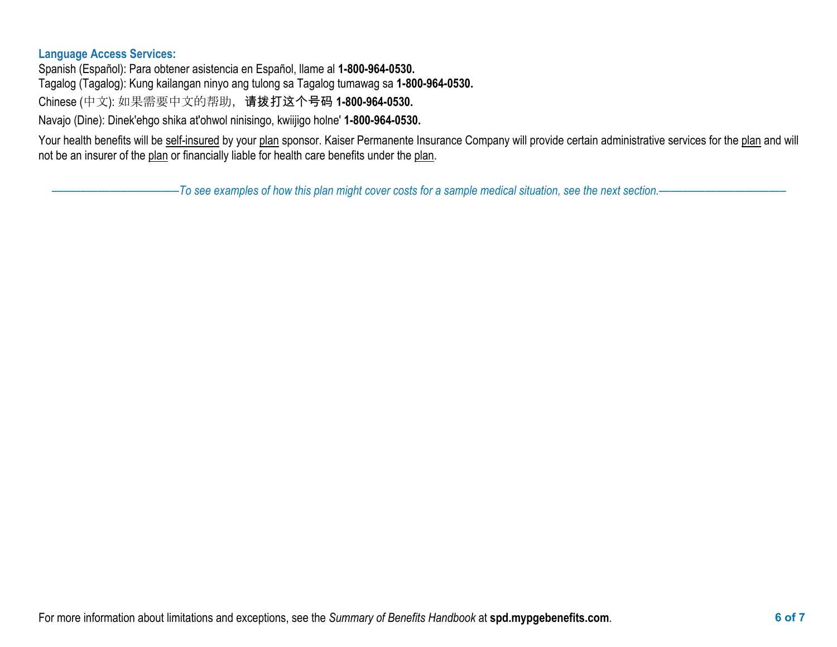## **Language Access Services:**

Spanish (Español): Para obtener asistencia en Español, llame al **1-800-964-0530.** Tagalog (Tagalog): Kung kailangan ninyo ang tulong sa Tagalog tumawag sa **1-800-964-0530.** Chinese (中文): 如果需要中文的帮助,请拨打这个号码 **1-800-964-0530.**

Navajo (Dine): Dinek'ehgo shika at'ohwol ninisingo, kwiijigo holne' **1-800-964-0530.**

Your health benefits will be self-insured by your plan sponsor. Kaiser Permanente Insurance Company will provide certain administrative services for the plan and will not be an insurer of the plan or financially liable for health care benefits under the plan.

––––––––––––––––––––––*To see examples of how this plan might cover costs for a sample medical situation, see the next section.–––––––––––*–––––––––––